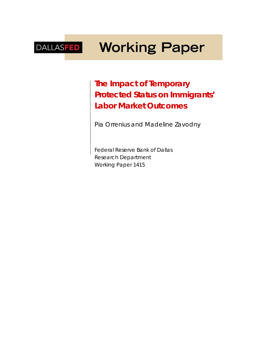# **Working Paper** DALLASFED

**The Impact of Temporary Protected Status on Immigrants' Labor Market Outcomes**

*Pia Orrenius and Madeline Zavodny*

Federal Reserve Bank of Dallas Research Department Working Paper 1415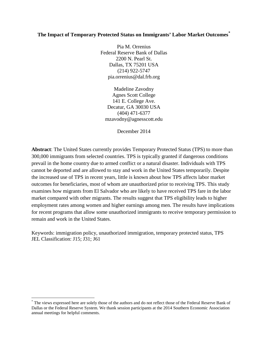## **The Impact of Temporary Protected Status on Immigrants' Labor Market Outcomes[\\*](#page-1-0)**

Pia M. Orrenius Federal Reserve Bank of Dallas 2200 N. Pearl St. Dallas, TX 75201 USA (214) 922-5747 pia.orrenius@dal.frb.org

Madeline Zavodny Agnes Scott College 141 E. College Ave. Decatur, GA 30030 USA (404) 471-6377 mzavodny@agnesscott.edu

December 2014

**Abstract**: The United States currently provides Temporary Protected Status (TPS) to more than 300,000 immigrants from selected countries. TPS is typically granted if dangerous conditions prevail in the home country due to armed conflict or a natural disaster. Individuals with TPS cannot be deported and are allowed to stay and work in the United States temporarily. Despite the increased use of TPS in recent years, little is known about how TPS affects labor market outcomes for beneficiaries, most of whom are unauthorized prior to receiving TPS. This study examines how migrants from El Salvador who are likely to have received TPS fare in the labor market compared with other migrants. The results suggest that TPS eligibility leads to higher employment rates among women and higher earnings among men. The results have implications for recent programs that allow some unauthorized immigrants to receive temporary permission to remain and work in the United States.

Keywords: immigration policy, unauthorized immigration, temporary protected status, TPS JEL Classification: J15; J31; J61

 $\overline{a}$ 

<span id="page-1-0"></span><sup>\*</sup> The views expressed here are solely those of the authors and do not reflect those of the Federal Reserve Bank of Dallas or the Federal Reserve System. We thank session participants at the 2014 Southern Economic Association annual meetings for helpful comments.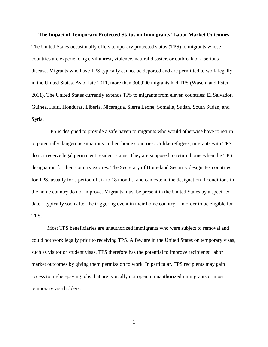**The Impact of Temporary Protected Status on Immigrants' Labor Market Outcomes** The United States occasionally offers temporary protected status (TPS) to migrants whose countries are experiencing civil unrest, violence, natural disaster, or outbreak of a serious disease. Migrants who have TPS typically cannot be deported and are permitted to work legally in the United States. As of late 2011, more than 300,000 migrants had TPS (Wasem and Ester, 2011). The United States currently extends TPS to migrants from eleven countries: El Salvador, Guinea, Haiti, Honduras, Liberia, Nicaragua, Sierra Leone, Somalia, Sudan, South Sudan, and Syria.

TPS is designed to provide a safe haven to migrants who would otherwise have to return to potentially dangerous situations in their home countries. Unlike refugees, migrants with TPS do not receive legal permanent resident status. They are supposed to return home when the TPS designation for their country expires. The Secretary of Homeland Security designates countries for TPS, usually for a period of six to 18 months, and can extend the designation if conditions in the home country do not improve. Migrants must be present in the United States by a specified date—typically soon after the triggering event in their home country—in order to be eligible for TPS.

Most TPS beneficiaries are unauthorized immigrants who were subject to removal and could not work legally prior to receiving TPS. A few are in the United States on temporary visas, such as visitor or student visas. TPS therefore has the potential to improve recipients' labor market outcomes by giving them permission to work. In particular, TPS recipients may gain access to higher-paying jobs that are typically not open to unauthorized immigrants or most temporary visa holders.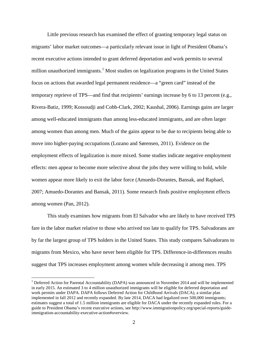Little previous research has examined the effect of granting temporary legal status on migrants' labor market outcomes—a particularly relevant issue in light of President Obama's recent executive actions intended to grant deferred deportation and work permits to several million unauthorized immigrants.<sup>[1](#page-3-0)</sup> Most studies on legalization programs in the United States focus on actions that awarded legal permanent residence—a "green card" instead of the temporary reprieve of TPS—and find that recipients' earnings increase by 6 to 13 percent (e.g., Rivera-Batiz, 1999; Kossoudji and Cobb-Clark, 2002; Kaushal, 2006). Earnings gains are larger among well-educated immigrants than among less-educated immigrants, and are often larger among women than among men. Much of the gains appear to be due to recipients being able to move into higher-paying occupations (Lozano and Sørensen, 2011). Evidence on the employment effects of legalization is more mixed. Some studies indicate negative employment effects: men appear to become more selective about the jobs they were willing to hold, while women appear more likely to exit the labor force (Amuedo-Dorantes, Bansak, and Raphael, 2007; Amuedo-Dorantes and Bansak, 2011). Some research finds positive employment effects among women (Pan, 2012).

This study examines how migrants from El Salvador who are likely to have received TPS fare in the labor market relative to those who arrived too late to qualify for TPS. Salvadorans are by far the largest group of TPS holders in the United States. This study compares Salvadorans to migrants from Mexico, who have never been eligible for TPS. Difference-in-differences results suggest that TPS increases employment among women while decreasing it among men. TPS

 $\overline{a}$ 

<span id="page-3-0"></span><sup>&</sup>lt;sup>1</sup> Deferred Action for Parental Accountability (DAPA) was announced in November 2014 and will be implemented in early 2015. An estimated 3 to 4 million unauthorized immigrants will be eligible for deferred deportation and work permits under DAPA. DAPA follows Deferred Action for Childhood Arrivals (DACA), a similar plan implemented in fall 2012 and recently expanded. By late 2014, DACA had legalized over 500,000 immigrants; estimates suggest a total of 1.5 million immigrants are eligible for DACA under the recently expanded rules. For a guide to President Obama's recent executive actions, see http://www.immigrationpolicy.org/special-reports/guideimmigration-accountability-executive-action#overview.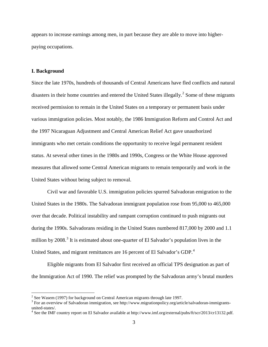appears to increase earnings among men, in part because they are able to move into higherpaying occupations.

#### **I. Background**

 $\overline{a}$ 

Since the late 1970s, hundreds of thousands of Central Americans have fled conflicts and natural disasters in their home countries and entered the United States illegally.<sup>[2](#page-4-0)</sup> Some of these migrants received permission to remain in the United States on a temporary or permanent basis under various immigration policies. Most notably, the 1986 Immigration Reform and Control Act and the 1997 Nicaraguan Adjustment and Central American Relief Act gave unauthorized immigrants who met certain conditions the opportunity to receive legal permanent resident status. At several other times in the 1980s and 1990s, Congress or the White House approved measures that allowed some Central American migrants to remain temporarily and work in the United States without being subject to removal.

Civil war and favorable U.S. immigration policies spurred Salvadoran emigration to the United States in the 1980s. The Salvadoran immigrant population rose from 95,000 to 465,000 over that decade. Political instability and rampant corruption continued to push migrants out during the 1990s. Salvadorans residing in the United States numbered 817,000 by 2000 and 1.1 million by  $2008.<sup>3</sup>$  $2008.<sup>3</sup>$  $2008.<sup>3</sup>$  It is estimated about one-quarter of El Salvador's population lives in the United States, and migrant remittances are 16 percent of El Salvador's GDP.<sup>[4](#page-4-2)</sup>

Eligible migrants from El Salvador first received an official TPS designation as part of the Immigration Act of 1990. The relief was prompted by the Salvadoran army's brutal murders

<span id="page-4-1"></span>

<span id="page-4-0"></span><sup>&</sup>lt;sup>2</sup> See Wasem (1997) for background on Central American migrants through late 1997.<br><sup>3</sup> For an overview of Salvadoran immigration, see http://www.migrationpolicy.org/article/salvadoran-immigrants-<br>united-states/.

<span id="page-4-2"></span> $4$  See the IMF country report on El Salvador available at http://www.imf.org/external/pubs/ft/scr/2013/cr13132.pdf.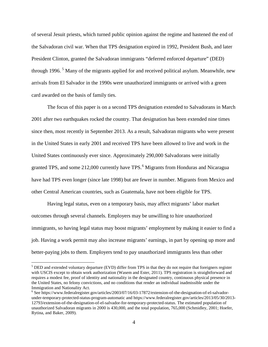of several Jesuit priests, which turned public opinion against the regime and hastened the end of the Salvadoran civil war. When that TPS designation expired in 1992, President Bush, and later President Clinton, granted the Salvadoran immigrants "deferred enforced departure" (DED) through 1996.<sup>[5](#page-5-0)</sup> Many of the migrants applied for and received political asylum. Meanwhile, new arrivals from El Salvador in the 1990s were unauthorized immigrants or arrived with a green card awarded on the basis of family ties.

The focus of this paper is on a second TPS designation extended to Salvadorans in March 2001 after two earthquakes rocked the country. That designation has been extended nine times since then, most recently in September 2013. As a result, Salvadoran migrants who were present in the United States in early 2001 and received TPS have been allowed to live and work in the United States continuously ever since. Approximately 290,000 Salvadorans were initially granted TPS, and some 212,000 currently have TPS.<sup>[6](#page-5-1)</sup> Migrants from Honduras and Nicaragua have had TPS even longer (since late 1998) but are fewer in number. Migrants from Mexico and other Central American countries, such as Guatemala, have not been eligible for TPS.

Having legal status, even on a temporary basis, may affect migrants' labor market outcomes through several channels. Employers may be unwilling to hire unauthorized immigrants, so having legal status may boost migrants' employment by making it easier to find a job. Having a work permit may also increase migrants' earnings, in part by opening up more and better-paying jobs to them. Employers tend to pay unauthorized immigrants less than other

 $\overline{a}$ 

<span id="page-5-0"></span><sup>&</sup>lt;sup>5</sup> DED and extended voluntary departure (EVD) differ from TPS in that they do not require that foreigners register with USCIS except to obtain work authorization (Wasem and Ester, 2011). TPS registration is straightforward and requires a modest fee, proof of identity and nationality in the designated country, continuous physical presence in the United States, no felony convictions, and no conditions that render an individual inadmissible under the Immigration and Nationality Act.

<span id="page-5-1"></span><sup>6</sup> See https://www.federalregister.gov/articles/2003/07/16/03-17872/extension-of-the-designation-of-el-salvadorunder-temporary-protected-status-program-automatic and https://www.federalregister.gov/articles/2013/05/30/2013- 12793/extension-of-the-designation-of-el-salvador-for-temporary-protected-status. The estimated population of unauthorized Salvadoran migrants in 2000 is 430,000, and the total population, 765,000 (Schmidley, 2001; Hoefer, Rytina, and Baker, 2009).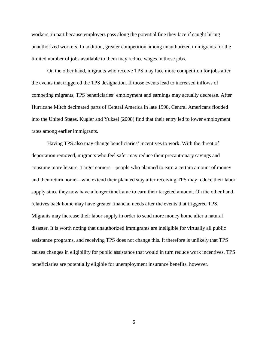workers, in part because employers pass along the potential fine they face if caught hiring unauthorized workers. In addition, greater competition among unauthorized immigrants for the limited number of jobs available to them may reduce wages in those jobs.

On the other hand, migrants who receive TPS may face more competition for jobs after the events that triggered the TPS designation. If those events lead to increased inflows of competing migrants, TPS beneficiaries' employment and earnings may actually decrease. After Hurricane Mitch decimated parts of Central America in late 1998, Central Americans flooded into the United States. Kugler and Yuksel (2008) find that their entry led to lower employment rates among earlier immigrants.

Having TPS also may change beneficiaries' incentives to work. With the threat of deportation removed, migrants who feel safer may reduce their precautionary savings and consume more leisure. Target earners—people who planned to earn a certain amount of money and then return home—who extend their planned stay after receiving TPS may reduce their labor supply since they now have a longer timeframe to earn their targeted amount. On the other hand, relatives back home may have greater financial needs after the events that triggered TPS. Migrants may increase their labor supply in order to send more money home after a natural disaster. It is worth noting that unauthorized immigrants are ineligible for virtually all public assistance programs, and receiving TPS does not change this. It therefore is unlikely that TPS causes changes in eligibility for public assistance that would in turn reduce work incentives. TPS beneficiaries are potentially eligible for unemployment insurance benefits, however.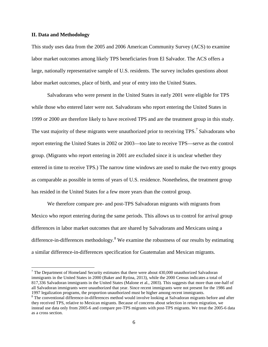### **II. Data and Methodology**

 $\overline{a}$ 

This study uses data from the 2005 and 2006 American Community Survey (ACS) to examine labor market outcomes among likely TPS beneficiaries from El Salvador. The ACS offers a large, nationally representative sample of U.S. residents. The survey includes questions about labor market outcomes, place of birth, and year of entry into the United States.

Salvadorans who were present in the United States in early 2001 were eligible for TPS while those who entered later were not. Salvadorans who report entering the United States in 1999 or 2000 are therefore likely to have received TPS and are the treatment group in this study. The vast majority of these migrants were unauthorized prior to receiving  $TPS<sup>7</sup>$  $TPS<sup>7</sup>$  $TPS<sup>7</sup>$  Salvadorans who report entering the United States in 2002 or 2003—too late to receive TPS—serve as the control group. (Migrants who report entering in 2001 are excluded since it is unclear whether they entered in time to receive TPS.) The narrow time windows are used to make the two entry groups as comparable as possible in terms of years of U.S. residence. Nonetheless, the treatment group has resided in the United States for a few more years than the control group.

We therefore compare pre- and post-TPS Salvadoran migrants with migrants from Mexico who report entering during the same periods. This allows us to control for arrival group differences in labor market outcomes that are shared by Salvadorans and Mexicans using a difference-in-differences methodology.<sup>[8](#page-7-1)</sup> We examine the robustness of our results by estimating a similar difference-in-differences specification for Guatemalan and Mexican migrants.

<span id="page-7-0"></span> $7$  The Department of Homeland Security estimates that there were about 430,000 unauthorized Salvadoran immigrants in the United States in 2000 (Baker and Rytina, 2013), while the 2000 Census indicates a total of 817,336 Salvadoran immigrants in the United States (Malone et al., 2003). This suggests that more than one-half of all Salvadoran immigrants were unauthorized that year. Since recent immigrants were not present for the 1986 and 1997 legalization programs, the proportion unauthorized must be higher among recent immigrants.

<span id="page-7-1"></span><sup>&</sup>lt;sup>8</sup> The conventional difference-in-differences method would involve looking at Salvadoran migrants before and after they received TPS, relative to Mexican migrants. Because of concerns about selection in return migration, we instead use data only from 2005-6 and compare pre-TPS migrants with post-TPS migrants. We treat the 2005-6 data as a cross section.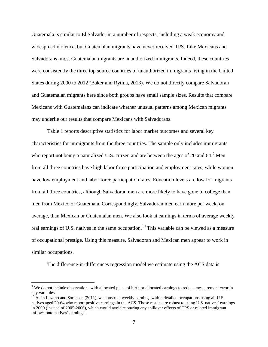Guatemala is similar to El Salvador in a number of respects, including a weak economy and widespread violence, but Guatemalan migrants have never received TPS. Like Mexicans and Salvadorans, most Guatemalan migrants are unauthorized immigrants. Indeed, these countries were consistently the three top source countries of unauthorized immigrants living in the United States during 2000 to 2012 (Baker and Rytina, 2013). We do not directly compare Salvadoran and Guatemalan migrants here since both groups have small sample sizes. Results that compare Mexicans with Guatemalans can indicate whether unusual patterns among Mexican migrants may underlie our results that compare Mexicans with Salvadorans.

Table 1 reports descriptive statistics for labor market outcomes and several key characteristics for immigrants from the three countries. The sample only includes immigrants who report not being a naturalized U.S. citizen and are between the ages of 20 and  $64.9$  $64.9$ <sup>9</sup> Men from all three countries have high labor force participation and employment rates, while women have low employment and labor force participation rates. Education levels are low for migrants from all three countries, although Salvadoran men are more likely to have gone to college than men from Mexico or Guatemala. Correspondingly, Salvadoran men earn more per week, on average, than Mexican or Guatemalan men. We also look at earnings in terms of average weekly real earnings of U.S. natives in the same occupation.<sup>[10](#page-8-1)</sup> This variable can be viewed as a measure of occupational prestige. Using this measure, Salvadoran and Mexican men appear to work in similar occupations.

The difference-in-differences regression model we estimate using the ACS data is

 $\overline{a}$ 

<span id="page-8-0"></span><sup>&</sup>lt;sup>9</sup> We do not include observations with allocated place of birth or allocated earnings to reduce measurement error in key variables.

<span id="page-8-1"></span> $10$  As in Lozano and Sorensen (2011), we construct weekly earnings within detailed occupations using all U.S. natives aged 20-64 who report positive earnings in the ACS. Those results are robust to using U.S. natives' earnings in 2000 (instead of 2005-2006), which would avoid capturing any spillover effects of TPS or related immigrant inflows onto natives' earnings.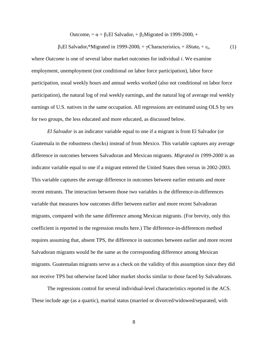Outcome<sub>i</sub> =  $\alpha + \beta_1 E1$  Salvador<sub>i</sub> +  $\beta_2$ Migrated in 1999-2000<sub>i</sub> +

 $β<sub>3</sub>El Salvador<sub>i</sub>*Migrated in 1999-2000<sub>i</sub> + γCharacteristics<sub>i</sub> + δState<sub>i</sub> + ε<sub>i</sub>,$  (1) where *Outcome* is one of several labor market outcomes for individual *i*. We examine employment, unemployment (not conditional on labor force participation), labor force participation, usual weekly hours and annual weeks worked (also not conditional on labor force participation), the natural log of real weekly earnings, and the natural log of average real weekly earnings of U.S. natives in the same occupation. All regressions are estimated using OLS by sex for two groups, the less educated and more educated, as discussed below.

*El Salvador* is an indicator variable equal to one if a migrant is from El Salvador (or Guatemala in the robustness checks) instead of from Mexico. This variable captures any average difference in outcomes between Salvadoran and Mexican migrants. *Migrated in 1999-2000* is an indicator variable equal to one if a migrant entered the United States then versus in 2002-2003. This variable captures the average difference in outcomes between earlier entrants and more recent entrants. The interaction between those two variables is the difference-in-differences variable that measures how outcomes differ between earlier and more recent Salvadoran migrants, compared with the same difference among Mexican migrants. (For brevity, only this coefficient is reported in the regression results here.) The difference-in-differences method requires assuming that, absent TPS, the difference in outcomes between earlier and more recent Salvadoran migrants would be the same as the corresponding difference among Mexican migrants. Guatemalan migrants serve as a check on the validity of this assumption since they did not receive TPS but otherwise faced labor market shocks similar to those faced by Salvadorans.

The regressions control for several individual-level characteristics reported in the ACS. These include age (as a quartic), marital status (married or divorced/widowed/separated, with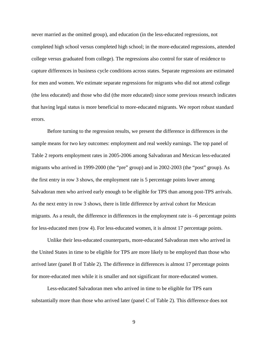never married as the omitted group), and education (in the less-educated regressions, not completed high school versus completed high school; in the more-educated regressions, attended college versus graduated from college). The regressions also control for state of residence to capture differences in business cycle conditions across states. Separate regressions are estimated for men and women. We estimate separate regressions for migrants who did not attend college (the less educated) and those who did (the more educated) since some previous research indicates that having legal status is more beneficial to more-educated migrants. We report robust standard errors.

Before turning to the regression results, we present the difference in differences in the sample means for two key outcomes: employment and real weekly earnings. The top panel of Table 2 reports employment rates in 2005-2006 among Salvadoran and Mexican less-educated migrants who arrived in 1999-2000 (the "pre" group) and in 2002-2003 (the "post" group). As the first entry in row 3 shows, the employment rate is 5 percentage points lower among Salvadoran men who arrived early enough to be eligible for TPS than among post-TPS arrivals. As the next entry in row 3 shows, there is little difference by arrival cohort for Mexican migrants. As a result, the difference in differences in the employment rate is –6 percentage points for less-educated men (row 4). For less-educated women, it is almost 17 percentage points.

Unlike their less-educated counterparts, more-educated Salvadoran men who arrived in the United States in time to be eligible for TPS are more likely to be employed than those who arrived later (panel B of Table 2). The difference in differences is almost 17 percentage points for more-educated men while it is smaller and not significant for more-educated women.

Less-educated Salvadoran men who arrived in time to be eligible for TPS earn substantially more than those who arrived later (panel C of Table 2). This difference does not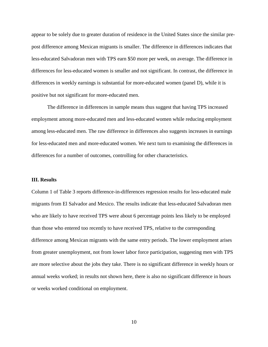appear to be solely due to greater duration of residence in the United States since the similar prepost difference among Mexican migrants is smaller. The difference in differences indicates that less-educated Salvadoran men with TPS earn \$50 more per week, on average. The difference in differences for less-educated women is smaller and not significant. In contrast, the difference in differences in weekly earnings is substantial for more-educated women (panel D), while it is positive but not significant for more-educated men.

The difference in differences in sample means thus suggest that having TPS increased employment among more-educated men and less-educated women while reducing employment among less-educated men. The raw difference in differences also suggests increases in earnings for less-educated men and more-educated women. We next turn to examining the differences in differences for a number of outcomes, controlling for other characteristics.

### **III. Results**

Column 1 of Table 3 reports difference-in-differences regression results for less-educated male migrants from El Salvador and Mexico. The results indicate that less-educated Salvadoran men who are likely to have received TPS were about 6 percentage points less likely to be employed than those who entered too recently to have received TPS, relative to the corresponding difference among Mexican migrants with the same entry periods. The lower employment arises from greater unemployment, not from lower labor force participation, suggesting men with TPS are more selective about the jobs they take. There is no significant difference in weekly hours or annual weeks worked; in results not shown here, there is also no significant difference in hours or weeks worked conditional on employment.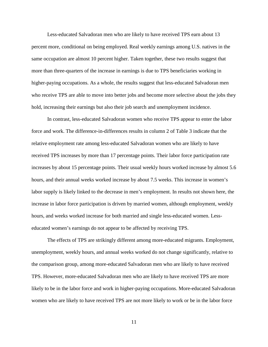Less-educated Salvadoran men who are likely to have received TPS earn about 13 percent more, conditional on being employed. Real weekly earnings among U.S. natives in the same occupation are almost 10 percent higher. Taken together, these two results suggest that more than three-quarters of the increase in earnings is due to TPS beneficiaries working in higher-paying occupations. As a whole, the results suggest that less-educated Salvadoran men who receive TPS are able to move into better jobs and become more selective about the jobs they hold, increasing their earnings but also their job search and unemployment incidence.

In contrast, less-educated Salvadoran women who receive TPS appear to enter the labor force and work. The difference-in-differences results in column 2 of Table 3 indicate that the relative employment rate among less-educated Salvadoran women who are likely to have received TPS increases by more than 17 percentage points. Their labor force participation rate increases by about 15 percentage points. Their usual weekly hours worked increase by almost 5.6 hours, and their annual weeks worked increase by about 7.5 weeks. This increase in women's labor supply is likely linked to the decrease in men's employment. In results not shown here, the increase in labor force participation is driven by married women, although employment, weekly hours, and weeks worked increase for both married and single less-educated women. Lesseducated women's earnings do not appear to be affected by receiving TPS.

The effects of TPS are strikingly different among more-educated migrants. Employment, unemployment, weekly hours, and annual weeks worked do not change significantly, relative to the comparison group, among more-educated Salvadoran men who are likely to have received TPS. However, more-educated Salvadoran men who are likely to have received TPS are more likely to be in the labor force and work in higher-paying occupations. More-educated Salvadoran women who are likely to have received TPS are not more likely to work or be in the labor force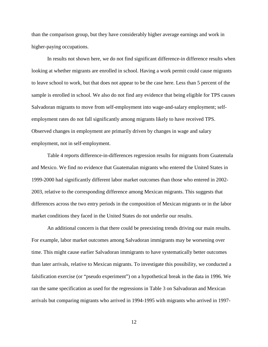than the comparison group, but they have considerably higher average earnings and work in higher-paying occupations.

In results not shown here, we do not find significant difference-in difference results when looking at whether migrants are enrolled in school. Having a work permit could cause migrants to leave school to work, but that does not appear to be the case here. Less than 5 percent of the sample is enrolled in school. We also do not find any evidence that being eligible for TPS causes Salvadoran migrants to move from self-employment into wage-and-salary employment; selfemployment rates do not fall significantly among migrants likely to have received TPS. Observed changes in employment are primarily driven by changes in wage and salary employment, not in self-employment.

Table 4 reports difference-in-differences regression results for migrants from Guatemala and Mexico. We find no evidence that Guatemalan migrants who entered the United States in 1999-2000 had significantly different labor market outcomes than those who entered in 2002- 2003, relative to the corresponding difference among Mexican migrants. This suggests that differences across the two entry periods in the composition of Mexican migrants or in the labor market conditions they faced in the United States do not underlie our results.

An additional concern is that there could be preexisting trends driving our main results. For example, labor market outcomes among Salvadoran immigrants may be worsening over time. This might cause earlier Salvadoran immigrants to have systematically better outcomes than later arrivals, relative to Mexican migrants. To investigate this possibility, we conducted a falsification exercise (or "pseudo experiment") on a hypothetical break in the data in 1996. We ran the same specification as used for the regressions in Table 3 on Salvadoran and Mexican arrivals but comparing migrants who arrived in 1994-1995 with migrants who arrived in 1997-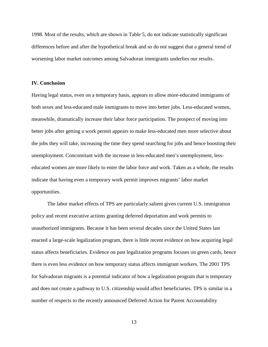1998. Most of the results, which are shown in Table 5, do not indicate statistically significant differences before and after the hypothetical break and so do not suggest that a general trend of worsening labor market outcomes among Salvadoran immigrants underlies our results.

### **IV. Conclusion**

Having legal status, even on a temporary basis, appears to allow more-educated immigrants of both sexes and less-educated male immigrants to move into better jobs. Less-educated women, meanwhile, dramatically increase their labor force participation. The prospect of moving into better jobs after getting a work permit appears to make less-educated men more selective about the jobs they will take, increasing the time they spend searching for jobs and hence boosting their unemployment. Concomitant with the increase in less-educated men's unemployment, lesseducated women are more likely to enter the labor force and work. Taken as a whole, the results indicate that having even a temporary work permit improves migrants' labor market opportunities.

The labor market effects of TPS are particularly salient given current U.S. immigration policy and recent executive actions granting deferred deportation and work permits to unauthorized immigrants. Because it has been several decades since the United States last enacted a large-scale legalization program, there is little recent evidence on how acquiring legal status affects beneficiaries. Evidence on past legalization programs focuses on green cards, hence there is even less evidence on how temporary status affects immigrant workers. The 2001 TPS for Salvadoran migrants is a potential indicator of how a legalization program that is temporary and does not create a pathway to U.S. citizenship would affect beneficiaries. TPS is similar in a number of respects to the recently announced Deferred Action for Parent Accountability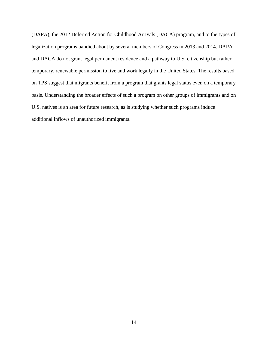(DAPA), the 2012 Deferred Action for Childhood Arrivals (DACA) program, and to the types of legalization programs bandied about by several members of Congress in 2013 and 2014. DAPA and DACA do not grant legal permanent residence and a pathway to U.S. citizenship but rather temporary, renewable permission to live and work legally in the United States. The results based on TPS suggest that migrants benefit from a program that grants legal status even on a temporary basis. Understanding the broader effects of such a program on other groups of immigrants and on U.S. natives is an area for future research, as is studying whether such programs induce additional inflows of unauthorized immigrants.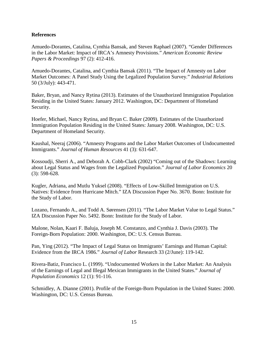## **References**

Amuedo-Dorantes, Catalina, Cynthia Bansak, and Steven Raphael (2007). "Gender Differences in the Labor Market: Impact of IRCA's Amnesty Provisions." *American Economic Review Papers & Proceedings* 97 (2): 412-416.

Amuedo-Dorantes, Catalina, and Cynthia Bansak (2011). "The Impact of Amnesty on Labor Market Outcomes: A Panel Study Using the Legalized Population Survey." *Industrial Relations* 50 (3/July): 443-471.

Baker, Bryan, and Nancy Rytina (2013). Estimates of the Unauthorized Immigration Population Residing in the United States: January 2012. Washington, DC: Department of Homeland Security.

Hoefer, Michael, Nancy Rytina, and Bryan C. Baker (2009). Estimates of the Unauthorized Immigration Population Residing in the United States: January 2008. Washington, DC: U.S. Department of Homeland Security.

Kaushal, Neeraj (2006). "Amnesty Programs and the Labor Market Outcomes of Undocumented Immigrants." *Journal of Human Resources* 41 (3): 631-647.

Kossoudji, Sherri A., and Deborah A. Cobb-Clark (2002) "Coming out of the Shadows: Learning about Legal Status and Wages from the Legalized Population." *Journal of Labor Economics* 20 (3): 598-628.

Kugler, Adriana, and Mutlu Yuksel (2008). "Effects of Low-Skilled Immigration on U.S. Natives: Evidence from Hurricane Mitch." IZA Discussion Paper No. 3670. Bonn: Institute for the Study of Labor.

Lozano, Fernando A., and Todd A. Sørensen (2011). "The Labor Market Value to Legal Status." IZA Discussion Paper No. 5492. Bonn: Institute for the Study of Labor.

Malone, Nolan, Kaari F. Baluja, Joseph M. Constanzo, and Cynthia J. Davis (2003). The Foreign-Born Population: 2000. Washington, DC: U.S. Census Bureau.

Pan, Ying (2012). "The Impact of Legal Status on Immigrants' Earnings and Human Capital: Evidence from the IRCA 1986." *Journal of Labor* Research 33 (2/June): 119-142.

Rivera-Batiz, Francisco L. (1999). "Undocumented Workers in the Labor Market: An Analysis of the Earnings of Legal and Illegal Mexican Immigrants in the United States." *Journal of Population Economics* 12 (1): 91-116.

Schmidley, A. Dianne (2001). Profile of the Foreign-Born Population in the United States: 2000. Washington, DC: U.S. Census Bureau.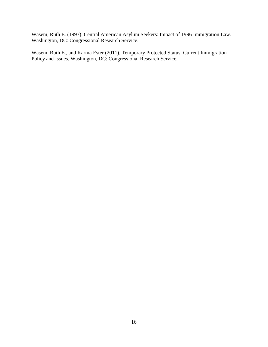Wasem, Ruth E. (1997). Central American Asylum Seekers: Impact of 1996 Immigration Law. Washington, DC: Congressional Research Service.

Wasem, Ruth E., and Karma Ester (2011). Temporary Protected Status: Current Immigration Policy and Issues. Washington, DC: Congressional Research Service.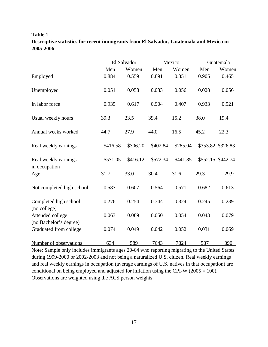# El Salvador Mexico Guatemala Men Women Men Women Men Women Employed 0.884 0.559 0.891 0.351 0.905 0.465 Unemployed 0.051 0.058 0.033 0.056 0.028 0.056 In labor force 0.935 0.617 0.904 0.407 0.933 0.521 Usual weekly hours 39.3 23.5 39.4 15.2 38.0 19.4 Annual weeks worked 44.7 27.9 44.0 16.5 45.2 22.3 Real weekly earnings \$416.58 \$306.20 \$402.84 \$285.04 \$353.82 \$326.83 Real weekly earnings  $$571.05$  \$416.12 \$572.34 \$441.85 \$552.15 \$442.74 in occupation Age 31.7 33.0 30.4 31.6 29.3 29.9 Not completed high school 0.587 0.607 0.564 0.571 0.682 0.613 Completed high school  $0.276$   $0.254$   $0.344$   $0.324$   $0.245$   $0.239$ (no college) Attended college  $0.063$   $0.089$   $0.050$   $0.054$   $0.043$   $0.079$ (no Bachelor's degree) Graduated from college  $0.074$  0.049 0.042 0.052 0.031 0.069

## **Table 1 Descriptive statistics for recent immigrants from El Salvador, Guatemala and Mexico in 2005-2006**

Note: Sample only includes immigrants ages 20-64 who reporting migrating to the United States during 1999-2000 or 2002-2003 and not being a naturalized U.S. citizen. Real weekly earnings and real weekly earnings in occupation (average earnings of U.S. natives in that occupation) are conditional on being employed and adjusted for inflation using the CPI-W  $(2005 = 100)$ . Observations are weighted using the ACS person weights.

Number of observations 634 589 7643 7824 587 390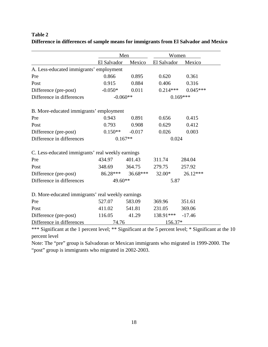|                                                   |               | Men                            |                    | Women      |  |  |
|---------------------------------------------------|---------------|--------------------------------|--------------------|------------|--|--|
|                                                   | El Salvador   |                                | Mexico El Salvador | Mexico     |  |  |
| A. Less-educated immigrants' employment           |               |                                |                    |            |  |  |
| Pre                                               | 0.866         | 0.895                          | 0.620              | 0.361      |  |  |
| Post                                              | 0.915         | 0.884                          | 0.406              | 0.316      |  |  |
| Difference (pre-post)                             | $-0.050*$     | 0.011                          | $0.214***$         | $0.045***$ |  |  |
| Difference in differences                         |               | $-0.060**$                     |                    | $0.169***$ |  |  |
| B. More-educated immigrants' employment           |               |                                |                    |            |  |  |
| Pre                                               | 0.943         | 0.891                          | 0.656              | 0.415      |  |  |
| Post                                              | 0.793         | 0.908                          | 0.629              | 0.412      |  |  |
| Difference (pre-post)                             | $0.150**$     | $-0.017$                       | 0.026              | 0.003      |  |  |
| Difference in differences                         |               | $0.167**$                      |                    | 0.024      |  |  |
| C. Less-educated immigrants' real weekly earnings |               |                                |                    |            |  |  |
| Pre                                               | 434.97        | 401.43                         | 311.74             | 284.04     |  |  |
| Post                                              | 348.69 364.75 |                                | 279.75             | 257.92     |  |  |
| Difference (pre-post)                             |               | $86.28***$ $36.68***$ $32.00*$ |                    | 26.12***   |  |  |
| Difference in differences                         |               | 49.60**                        |                    | 5.87       |  |  |
| D. More-educated immigrants' real weekly earnings |               |                                |                    |            |  |  |
| Pre                                               | 527.07        | 583.09                         | 369.96             | 351.61     |  |  |
| Post                                              | 411.02        | 541.81                         | 231.05             | 369.06     |  |  |
| Difference (pre-post)                             | 116.05        | 41.29                          | 138.91***          | $-17.46$   |  |  |
| Difference in differences                         | 74.76         |                                | 156.37*            |            |  |  |

## **Table 2 Difference in differences of sample means for immigrants from El Salvador and Mexico**

\*\*\* Significant at the 1 percent level; \*\* Significant at the 5 percent level; \* Significant at the 10 percent level

Note: The "pre" group is Salvadoran or Mexican immigrants who migrated in 1999-2000. The "post" group is immigrants who migrated in 2002-2003.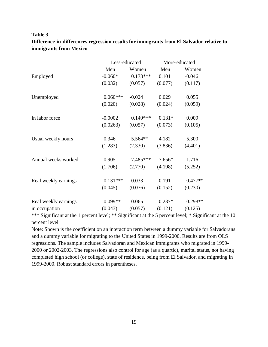### **Table 3**

|                      | Less-educated |              | More-educated |              |
|----------------------|---------------|--------------|---------------|--------------|
|                      | Men           | <u>Women</u> | Men           | <u>Women</u> |
| Employed             | $-0.060*$     | $0.173***$   | 0.101         | $-0.046$     |
|                      | (0.032)       | (0.057)      | (0.077)       | (0.117)      |
| Unemployed           | $0.060***$    | $-0.024$     | 0.029         | 0.055        |
|                      | (0.020)       | (0.028)      | (0.024)       | (0.059)      |
| In labor force       | $-0.0002$     | $0.149***$   | $0.131*$      | 0.009        |
|                      | (0.0263)      | (0.057)      | (0.073)       | (0.105)      |
| Usual weekly hours   | 0.346         | 5.564**      | 4.182         | 5.300        |
|                      | (1.283)       | (2.330)      | (3.836)       | (4.401)      |
| Annual weeks worked  | 0.905         | 7.485***     | $7.656*$      | $-1.716$     |
|                      | (1.706)       | (2.770)      | (4.198)       | (5.252)      |
| Real weekly earnings | $0.131***$    | 0.033        | 0.191         | $0.477**$    |
|                      | (0.045)       | (0.076)      | (0.152)       | (0.230)      |
| Real weekly earnings | $0.099**$     | 0.065        | $0.237*$      | $0.298**$    |
| in occupation        | (0.043)       | (0.057)      | (0.121)       | (0.125)      |

## **Difference-in-differences regression results for immigrants from El Salvador relative to immigrants from Mexico**

\*\*\* Significant at the 1 percent level; \*\* Significant at the 5 percent level; \* Significant at the 10 percent level

Note: Shown is the coefficient on an interaction term between a dummy variable for Salvadorans and a dummy variable for migrating to the United States in 1999-2000. Results are from OLS regressions. The sample includes Salvadoran and Mexican immigrants who migrated in 1999- 2000 or 2002-2003. The regressions also control for age (as a quartic), marital status, not having completed high school (or college), state of residence, being from El Salvador, and migrating in 1999-2000. Robust standard errors in parentheses.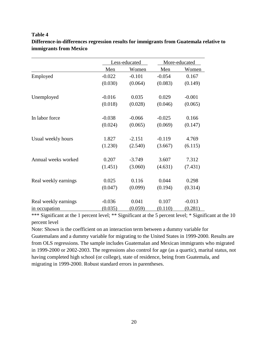## **Table 4**

|                      |          | Less-educated |          | More-educated |
|----------------------|----------|---------------|----------|---------------|
|                      | Men      | Women         | Men      | Women         |
| Employed             | $-0.022$ | $-0.101$      | $-0.054$ | 0.167         |
|                      | (0.030)  | (0.064)       | (0.083)  | (0.149)       |
| Unemployed           | $-0.016$ | 0.035         | 0.029    | $-0.001$      |
|                      | (0.018)  | (0.028)       | (0.046)  | (0.065)       |
| In labor force       | $-0.038$ | $-0.066$      | $-0.025$ | 0.166         |
|                      | (0.024)  | (0.065)       | (0.069)  | (0.147)       |
| Usual weekly hours   | 1.827    | $-2.151$      | $-0.119$ | 4.769         |
|                      | (1.230)  | (2.540)       | (3.667)  | (6.115)       |
| Annual weeks worked  | 0.207    | $-3.749$      | 3.607    | 7.312         |
|                      | (1.451)  | (3.060)       | (4.631)  | (7.431)       |
| Real weekly earnings | 0.025    | 0.116         | 0.044    | 0.298         |
|                      | (0.047)  | (0.099)       | (0.194)  | (0.314)       |
| Real weekly earnings | $-0.036$ | 0.041         | 0.107    | $-0.013$      |
| in occupation        | (0.035)  | (0.059)       | (0.110)  | (0.281)       |

# **Difference-in-differences regression results for immigrants from Guatemala relative to immigrants from Mexico**

\*\*\* Significant at the 1 percent level; \*\* Significant at the 5 percent level; \* Significant at the 10 percent level

Note: Shown is the coefficient on an interaction term between a dummy variable for Guatemalans and a dummy variable for migrating to the United States in 1999-2000. Results are from OLS regressions. The sample includes Guatemalan and Mexican immigrants who migrated in 1999-2000 or 2002-2003. The regressions also control for age (as a quartic), marital status, not having completed high school (or college), state of residence, being from Guatemala, and migrating in 1999-2000. Robust standard errors in parentheses.